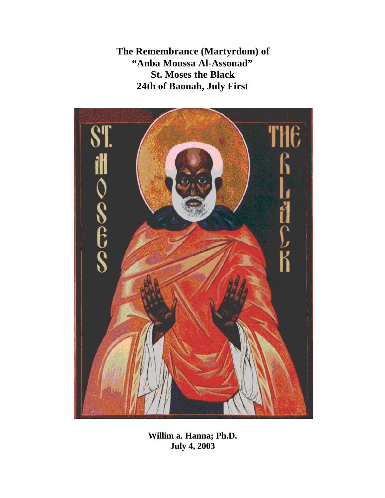**The Remembrance (Martyrdom) of "Anba Moussa Al-Assouad" St. Moses the Black 24th of Baonah, July First**



**Willim a. Hanna; Ph.D. July 4, 2003**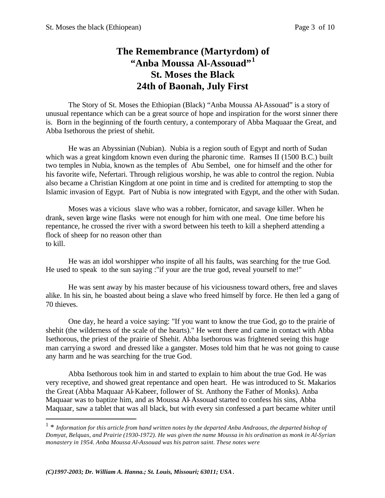# **The Remembrance (Martyrdom) of "Anba Moussa Al-Assouad"<sup>1</sup> St. Moses the Black 24th of Baonah, July First**

The Story of St. Moses the Ethiopian (Black) "Anba Moussa Al-Assouad" is a story of unusual repentance which can be a great source of hope and inspiration for the worst sinner there is. Born in the beginning of the fourth century, a contemporary of Abba Maquaar the Great, and Abba Isethorous the priest of shehit.

He was an Abyssinian (Nubian). Nubia is a region south of Egypt and north of Sudan which was a great kingdom known even during the pharonic time. Ramses II (1500 B.C.) built two temples in Nubia, known as the temples of Abu Sembel, one for himself and the other for his favorite wife, Nefertari. Through religious worship, he was able to control the region. Nubia also became a Christian Kingdom at one point in time and is credited for attempting to stop the Islamic invasion of Egypt. Part of Nubia is now integrated with Egypt, and the other with Sudan.

Moses was a vicious slave who was a robber, fornicator, and savage killer. When he drank, seven large wine flasks were not enough for him with one meal. One time before his repentance, he crossed the river with a sword between his teeth to kill a shepherd attending a flock of sheep for no reason other than to kill.

He was an idol worshipper who inspite of all his faults, was searching for the true God. He used to speak to the sun saying :"if your are the true god, reveal yourself to me!"

He was sent away by his master because of his viciousness toward others, free and slaves alike. In his sin, he boasted about being a slave who freed himself by force. He then led a gang of 70 thieves.

One day, he heard a voice saying: "If you want to know the true God, go to the prairie of shehit (the wilderness of the scale of the hearts)." He went there and came in contact with Abba Isethorous, the priest of the prairie of Shehit. Abba Isethorous was frightened seeing this huge man carrying a sword and dressed like a gangster. Moses told him that he was not going to cause any harm and he was searching for the true God.

Abba Isethorous took him in and started to explain to him about the true God. He was very receptive, and showed great repentance and open heart. He was introduced to St. Makarios the Great (Abba Maquaar Al-Kabeer, follower of St. Anthony the Father of Monks). Anba Maquaar was to baptize him, and as Moussa Al-Assouad started to confess his sins, Abba Maquaar, saw a tablet that was all black, but with every sin confessed a part became whiter until

 $\overline{a}$ 

<sup>1</sup> \* *Information for this article from hand written notes by the departed Anba Andraous, the departed bishop of Domyat, Belquas, and Prairie (1930-1972). He was given the name Moussa in his ordination as monk in Al-Syrian monastery in 1954. Anba Moussa Al-Assouad was his patron saint. These notes were*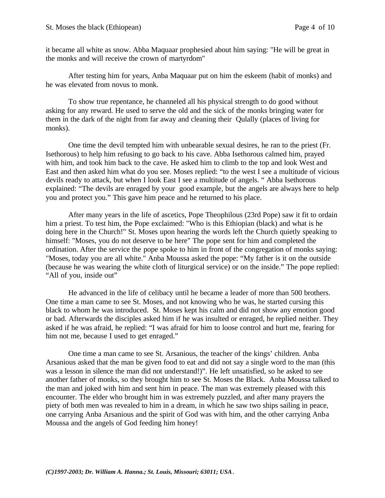it became all white as snow. Abba Maquaar prophesied about him saying: "He will be great in the monks and will receive the crown of martyrdom"

After testing him for years, Anba Maquaar put on him the eskeem (habit of monks) and he was elevated from novus to monk.

To show true repentance, he channeled all his physical strength to do good without asking for any reward. He used to serve the old and the sick of the monks bringing water for them in the dark of the night from far away and cleaning their Qulally (places of living for monks).

One time the devil tempted him with unbearable sexual desires, he ran to the priest (Fr. Isethorous) to help him refusing to go back to his cave. Abba Isethorous calmed him, prayed with him, and took him back to the cave. He asked him to climb to the top and look West and East and then asked him what do you see. Moses replied: "to the west I see a multitude of vicious devils ready to attack, but when I look East I see a multitude of angels. " Abba Isethorous explained: "The devils are enraged by your good example, but the angels are always here to help you and protect you." This gave him peace and he returned to his place.

After many years in the life of ascetics, Pope Theophilous (23rd Pope) saw it fit to ordain him a priest. To test him, the Pope exclaimed: "Who is this Ethiopian (black) and what is he doing here in the Church!" St. Moses upon hearing the words left the Church quietly speaking to himself: "Moses, you do not deserve to be here" The pope sent for him and completed the ordination. After the service the pope spoke to him in front of the congregation of monks saying: "Moses, today you are all white." Anba Moussa asked the pope: "My father is it on the outside (because he was wearing the white cloth of liturgical service) or on the inside." The pope replied: "All of you, inside out"

He advanced in the life of celibacy until he became a leader of more than 500 brothers. One time a man came to see St. Moses, and not knowing who he was, he started cursing this black to whom he was introduced. St. Moses kept his calm and did not show any emotion good or bad. Afterwards the disciples asked him if he was insulted or enraged, he replied neither. They asked if he was afraid, he replied: "I was afraid for him to loose control and hurt me, fearing for him not me, because I used to get enraged."

One time a man came to see St. Arsanious, the teacher of the kings' children. Anba Arsanious asked that the man be given food to eat and did not say a single word to the man (this was a lesson in silence the man did not understand!)". He left unsatisfied, so he asked to see another father of monks, so they brought him to see St. Moses the Black. Anba Moussa talked to the man and joked with him and sent him in peace. The man was extremely pleased with this encounter. The elder who brought him in was extremely puzzled, and after many prayers the piety of both men was revealed to him in a dream, in which he saw two ships sailing in peace, one carrying Anba Arsanious and the spirit of God was with him, and the other carrying Anba Moussa and the angels of God feeding him honey!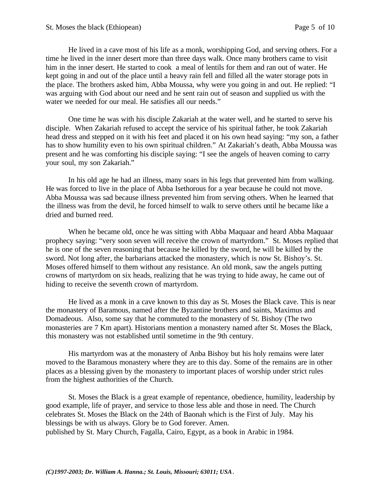He lived in a cave most of his life as a monk, worshipping God, and serving others. For a time he lived in the inner desert more than three days walk. Once many brothers came to visit him in the inner desert. He started to cook a meal of lentils for them and ran out of water. He kept going in and out of the place until a heavy rain fell and filled all the water storage pots in the place. The brothers asked him, Abba Moussa, why were you going in and out. He replied: "I was arguing with God about our need and he sent rain out of season and supplied us with the water we needed for our meal. He satisfies all our needs."

One time he was with his disciple Zakariah at the water well, and he started to serve his disciple. When Zakariah refused to accept the service of his spiritual father, he took Zakariah head dress and stepped on it with his feet and placed it on his own head saying: "my son, a father has to show humility even to his own spiritual children." At Zakariah's death, Abba Moussa was present and he was comforting his disciple saying: "I see the angels of heaven coming to carry your soul, my son Zakariah."

In his old age he had an illness, many soars in his legs that prevented him from walking. He was forced to live in the place of Abba Isethorous for a year because he could not move. Abba Moussa was sad because illness prevented him from serving others. When he learned that the illness was from the devil, he forced himself to walk to serve others until he became like a dried and burned reed.

When he became old, once he was sitting with Abba Maquaar and heard Abba Maquaar prophecy saying: "very soon seven will receive the crown of martyrdom." St. Moses replied that he is one of the seven reasoning that because he killed by the sword, he will be killed by the sword. Not long after, the barbarians attacked the monastery, which is now St. Bishoy's. St. Moses offered himself to them without any resistance. An old monk, saw the angels putting crowns of martyrdom on six heads, realizing that he was trying to hide away, he came out of hiding to receive the seventh crown of martyrdom.

He lived as a monk in a cave known to this day as St. Moses the Black cave. This is near the monastery of Baramous, named after the Byzantine brothers and saints, Maximus and Domadeous. Also, some say that he commuted to the monastery of St. Bishoy (The two monasteries are 7 Km apart). Historians mention a monastery named after St. Moses the Black, this monastery was not established until sometime in the 9th century.

His martyrdom was at the monastery of Anba Bishoy but his holy remains were later moved to the Baramous monastery where they are to this day. Some of the remains are in other places as a blessing given by the monastery to important places of worship under strict rules from the highest authorities of the Church.

St. Moses the Black is a great example of repentance, obedience, humility, leadership by good example, life of prayer, and service to those less able and those in need. The Church celebrates St. Moses the Black on the 24th of Baonah which is the First of July. May his blessings be with us always. Glory be to God forever. Amen. published by St. Mary Church, Fagalla, Cairo, Egypt, as a book in Arabic in 1984.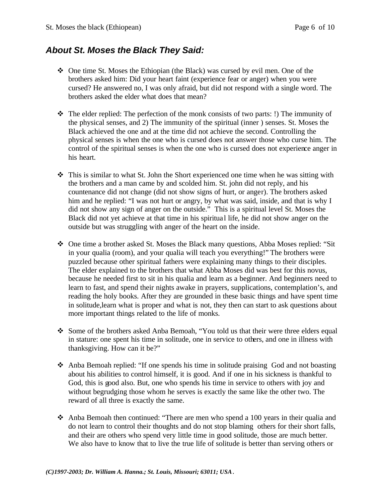## *About St. Moses the Black They Said:*

- $\div$  One time St. Moses the Ethiopian (the Black) was cursed by evil men. One of the brothers asked him: Did your heart faint (experience fear or anger) when you were cursed? He answered no, I was only afraid, but did not respond with a single word. The brothers asked the elder what does that mean?
- $\triangleleft$  The elder replied: The perfection of the monk consists of two parts: !) The immunity of the physical senses, and 2) The immunity of the spiritual (inner ) senses. St. Moses the Black achieved the one and at the time did not achieve the second. Controlling the physical senses is when the one who is cursed does not answer those who curse him. The control of the spiritual senses is when the one who is cursed does not experience anger in his heart.
- $\hat{\mathbf{v}}$  This is similar to what St. John the Short experienced one time when he was sitting with the brothers and a man came by and scolded him. St. john did not reply, and his countenance did not change (did not show signs of hurt, or anger). The brothers asked him and he replied: "I was not hurt or angry, by what was said, inside, and that is why I did not show any sign of anger on the outside." This is a spiritual level St. Moses the Black did not yet achieve at that time in his spiritual life, he did not show anger on the outside but was struggling with anger of the heart on the inside.
- $\div$  One time a brother asked St. Moses the Black many questions, Abba Moses replied: "Sit in your qualia (room), and your qualia will teach you everything!" The brothers were puzzled because other spiritual fathers were explaining many things to their disciples. The elder explained to the brothers that what Abba Moses did was best for this novus, because he needed first to sit in his qualia and learn as a beginner. And beginners need to learn to fast, and spend their nights awake in prayers, supplications, contemplation's, and reading the holy books. After they are grounded in these basic things and have spent time in solitude,learn what is proper and what is not, they then can start to ask questions about more important things related to the life of monks.
- v Some of the brothers asked Anba Bemoah, "You told us that their were three elders equal in stature: one spent his time in solitude, one in service to others, and one in illness with thanksgiving. How can it be?"
- v Anba Bemoah replied: "If one spends his time in solitude praising God and not boasting about his abilities to control himself, it is good. And if one in his sickness is thankful to God, this is good also. But, one who spends his time in service to others with joy and without begrudging those whom he serves is exactly the same like the other two. The reward of all three is exactly the same.
- $\cdot$  Anba Bemoah then continued: "There are men who spend a 100 years in their qualia and do not learn to control their thoughts and do not stop blaming others for their short falls, and their are others who spend very little time in good solitude, those are much better. We also have to know that to live the true life of solitude is better than serving others or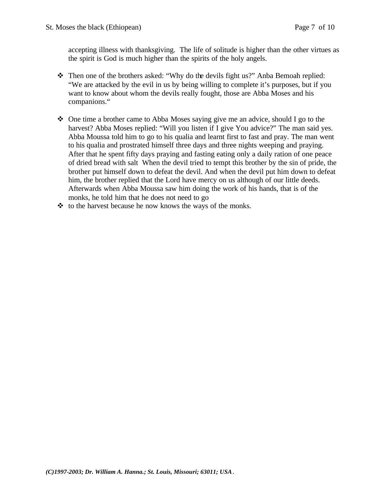accepting illness with thanksgiving. The life of solitude is higher than the other virtues as the spirit is God is much higher than the spirits of the holy angels.

- Then one of the brothers asked: "Why do the devils fight us?" Anba Bemoah replied: "We are attacked by the evil in us by being willing to complete it's purposes, but if you want to know about whom the devils really fought, those are Abba Moses and his companions."
- $\div$  One time a brother came to Abba Moses saying give me an advice, should I go to the harvest? Abba Moses replied: "Will you listen if I give You advice?" The man said yes. Abba Moussa told him to go to his qualia and learnt first to fast and pray. The man went to his qualia and prostrated himself three days and three nights weeping and praying. After that he spent fifty days praying and fasting eating only a daily ration of one peace of dried bread with salt When the devil tried to tempt this brother by the sin of pride, the brother put himself down to defeat the devil. And when the devil put him down to defeat him, the brother replied that the Lord have mercy on us although of our little deeds. Afterwards when Abba Moussa saw him doing the work of his hands, that is of the monks, he told him that he does not need to go
- $\cdot \cdot$  to the harvest because he now knows the ways of the monks.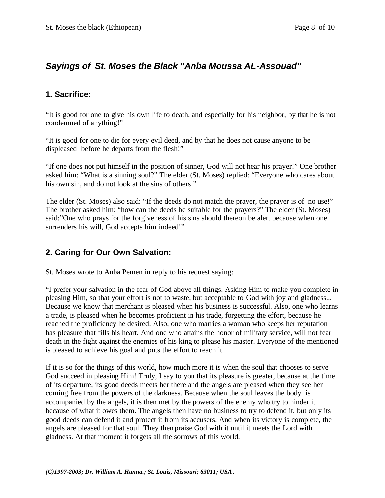## *Sayings of St. Moses the Black "Anba Moussa AL-Assouad"*

#### **1. Sacrifice:**

"It is good for one to give his own life to death, and especially for his neighbor, by that he is not condemned of anything!"

"It is good for one to die for every evil deed, and by that he does not cause anyone to be displeased before he departs from the flesh!"

"If one does not put himself in the position of sinner, God will not hear his prayer!" One brother asked him: "What is a sinning soul?" The elder (St. Moses) replied: "Everyone who cares about his own sin, and do not look at the sins of others!"

The elder (St. Moses) also said: "If the deeds do not match the prayer, the prayer is of no use!" The brother asked him: "how can the deeds be suitable for the prayers?" The elder (St. Moses) said:"One who prays for the forgiveness of his sins should thereon be alert because when one surrenders his will, God accepts him indeed!"

#### **2. Caring for Our Own Salvation:**

St. Moses wrote to Anba Pemen in reply to his request saying:

"I prefer your salvation in the fear of God above all things. Asking Him to make you complete in pleasing Him, so that your effort is not to waste, but acceptable to God with joy and gladness... Because we know that merchant is pleased when his business is successful. Also, one who learns a trade, is pleased when he becomes proficient in his trade, forgetting the effort, because he reached the proficiency he desired. Also, one who marries a woman who keeps her reputation has pleasure that fills his heart. And one who attains the honor of military service, will not fear death in the fight against the enemies of his king to please his master. Everyone of the mentioned is pleased to achieve his goal and puts the effort to reach it.

If it is so for the things of this world, how much more it is when the soul that chooses to serve God succeed in pleasing Him! Truly, I say to you that its pleasure is greater, because at the time of its departure, its good deeds meets her there and the angels are pleased when they see her coming free from the powers of the darkness. Because when the soul leaves the body is accompanied by the angels, it is then met by the powers of the enemy who try to hinder it because of what it owes them. The angels then have no business to try to defend it, but only its good deeds can defend it and protect it from its accusers. And when its victory is complete, the angels are pleased for that soul. They then praise God with it until it meets the Lord with gladness. At that moment it forgets all the sorrows of this world.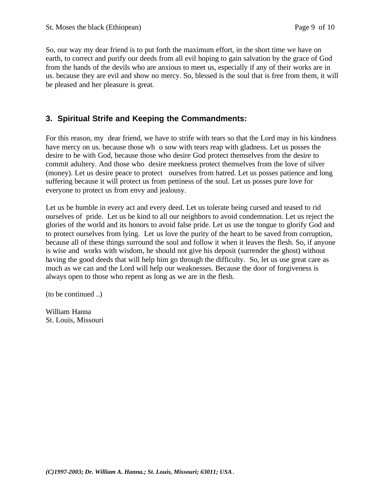So, our way my dear friend is to put forth the maximum effort, in the short time we have on earth, to correct and purify our deeds from all evil hoping to gain salvation by the grace of God from the hands of the devils who are anxious to meet us, especially if any of their works are in us. because they are evil and show no mercy. So, blessed is the soul that is free from them, it will be pleased and her pleasure is great.

### **3. Spiritual Strife and Keeping the Commandments:**

For this reason, my dear friend, we have to strife with tears so that the Lord may in his kindness have mercy on us. because those wh o sow with tears reap with gladness. Let us posses the desire to be with God, because those who desire God protect themselves from the desire to commit adultery. And those who desire meekness protect themselves from the love of silver (money). Let us desire peace to protect ourselves from hatred. Let us posses patience and long suffering because it will protect us from pettiness of the soul. Let us posses pure love for everyone to protect us from envy and jealousy.

Let us be humble in every act and every deed. Let us tolerate being cursed and teased to rid ourselves of pride. Let us be kind to all our neighbors to avoid condemnation. Let us reject the glories of the world and its honors to avoid false pride. Let us use the tongue to glorify God and to protect ourselves from lying. Let us love the purity of the heart to be saved from corruption, because all of these things surround the soul and follow it when it leaves the flesh. So, if anyone is wise and works with wisdom, he should not give his deposit (surrender the ghost) without having the good deeds that will help him go through the difficulty. So, let us use great care as much as we can and the Lord will help our weaknesses. Because the door of forgiveness is always open to those who repent as long as we are in the flesh.

(to be continued ..)

William Hanna St. Louis, Missouri